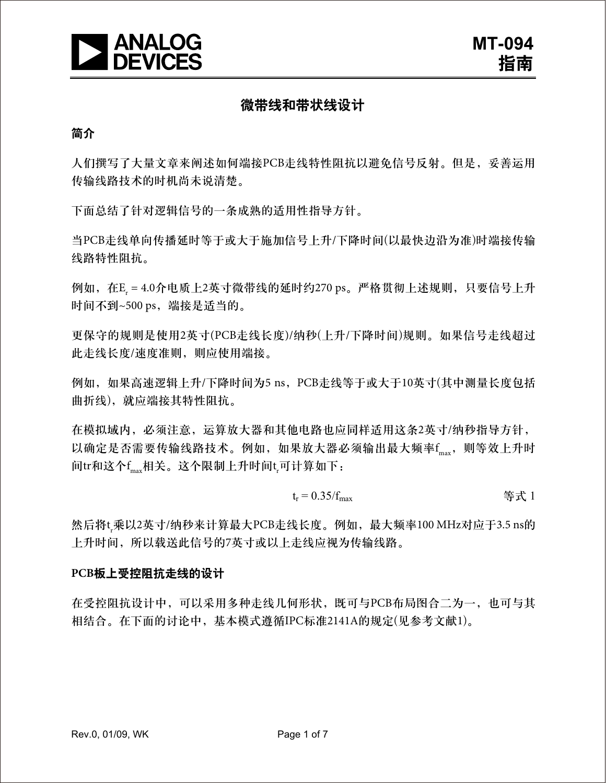

# 微带线和带状线设计

#### 简介

人们撰写了大量文章来阐述如何端接PCB走线特性阻抗以避免信号反射。但是,妥善运用 传输线路技术的时机尚未说清楚。

下面总结了针对逻辑信号的一条成熟的适用性指导方针。

当PCB走线单向传播延时等于或大于施加信号上升/下降时间(以最快边沿为准)时端接传输 线路特性阻抗。

例如,在Er = 4.0介电质上2英寸微带线的延时约270 ps。严格贯彻上述规则,只要信号上升 时间不到~500 ps, 端接是适当的。

更保守的规则是使用2英寸(PCB走线长度)/纳秒(上升/下降时间)规则。如果信号走线超过 此走线长度/速度准则,则应使用端接。

例如,如果高速逻辑上升/下降时间为5 ns,PCB走线等于或大于10英寸(其中测量长度包括 曲折线),就应端接其特性阻抗。

在模拟域内,必须注意,运算放大器和其他电路也应同样适用这条2英寸/纳秒指导方针, 以确定是否需要传输线路技术。例如,如果放大器必须输出最大频率f<sub>max</sub>,则等效上升时 间tr和这个f<sub>max</sub>相关。这个限制上升时间t<sub>r</sub>可计算如下:

$$
t_{r} = 0.35/f_{\text{max}}
$$

然后将t;乘以2英寸/纳秒来计算最大PCB走线长度。例如,最大频率100 MHz对应于3.5 ns的 上升时间,所以载送此信号的7英寸或以上走线应视为传输线路。

#### **PCB**板上受控阻抗走线的设计

在受控阻抗设计中,可以采用多种走线几何形状,既可与PCB布局图合二为一,也可与其 相结合。在下面的讨论中,基本模式遵循IPC标准2141A的规定(见参考文献1)。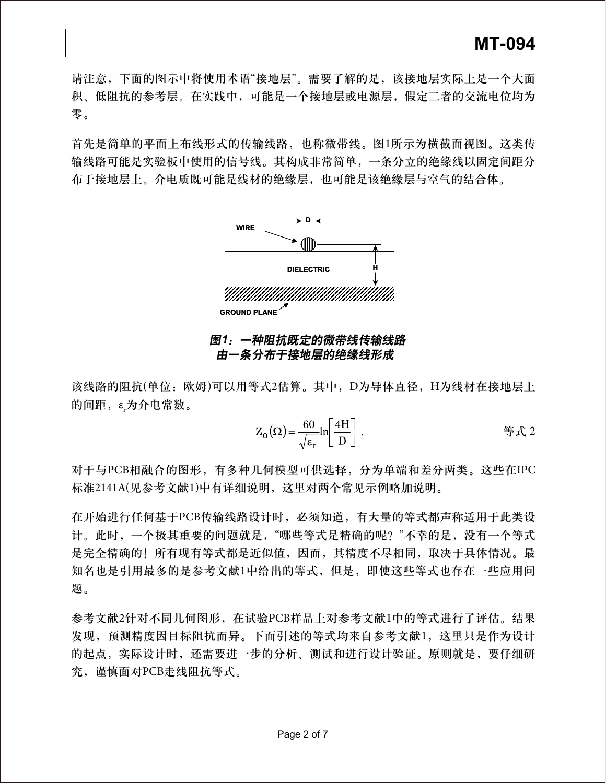# **MT-094**

请注意,下面的图示中将使用术语"接地层"。需要了解的是,该接地层实际上是一个大面 积、低阻抗的参考层。在实践中,可能是一个接地层或电源层,假定二者的交流电位均为 零。

首先是简单的平面上布线形式的传输线路,也称微带线。图1所示为横截面视图。这类传 输线路可能是实验板中使用的信号线。其构成非常简单,一条分立的绝缘线以固定间距分 布于接地层上。介电质既可能是线材的绝缘层,也可能是该绝缘层与空气的结合体。



#### 图**1**:一种阻抗既定的微带线传输线路 由一条分布于接地层的绝缘线形成

该线路的阻抗(单位:欧姆)可以用等式2估算。其中,D为导体直径,H为线材在接地层上 的间距,ε<sub>r</sub>为介电常数。

$$
Z_{\mathcal{O}}(\Omega) = \frac{60}{\sqrt{\varepsilon_r}} \ln \left[ \frac{4H}{D} \right].
$$

对于与PCB相融合的图形,有多种几何模型可供选择,分为单端和差分两类。这些在IPC 标准2141A(见参考文献1)中有详细说明,这里对两个常见示例略加说明。

在开始进行任何基于PCB传输线路设计时,必须知道,有大量的等式都声称适用于此类设 计。此时,一个极其重要的问题就是,"哪些等式是精确的呢?"不幸的是,没有一个等式 是完全精确的!所有现有等式都是近似值,因而,其精度不尽相同,取决于具体情况。最 知名也是引用最多的是参考文献1中给出的等式,但是,即使这些等式也存在一些应用问 题。

参考文献2针对不同几何图形,在试验PCB样品上对参考文献1中的等式进行了评估。结果 发现,预测精度因目标阻抗而异。下面引述的等式均来自参考文献1,这里只是作为设计 的起点,实际设计时,还需要进一步的分析、测试和进行设计验证。原则就是,要仔细研 究,谨慎面对PCB走线阻抗等式。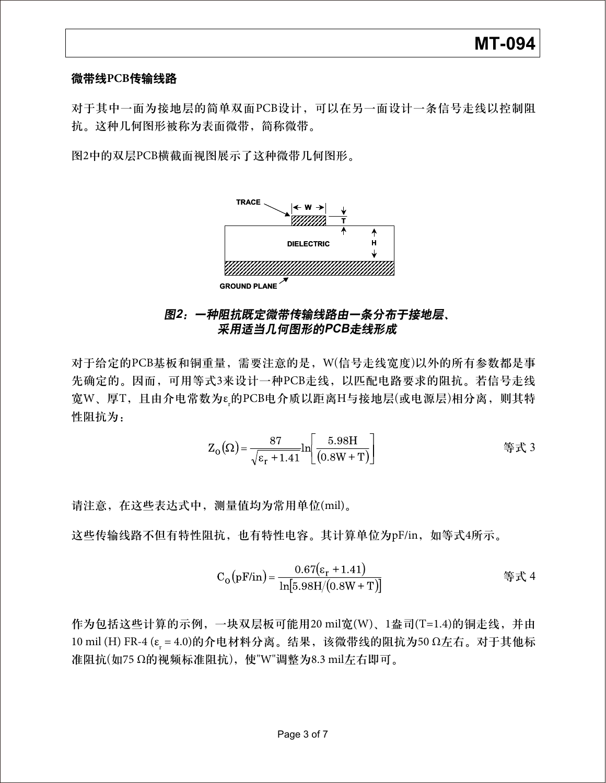#### 微带线**PCB**传输线路

对于其中一面为接地层的简单双面PCB设计,可以在另一面设计一条信号走线以控制阻 抗。这种几何图形被称为表面微带,简称微带。

图2中的双层PCB横截面视图展示了这种微带几何图形。



## 图**2**:一种阻抗既定微带传输线路由一条分布于接地层、 采用适当几何图形的**PCB**走线形成

对于给定的PCB基板和铜重量,需要注意的是,W(信号走线宽度)以外的所有参数都是事 先确定的。因而,可用等式3来设计一种PCB走线,以匹配电路要求的阻抗。若信号走线 宽W、厚T,且由介电常数为εμ的PCB电介质以距离H与接地层(或电源层)相分离,则其特 性阻抗为:

$$
Z_{0}(\Omega) = \frac{87}{\sqrt{\epsilon_{r} + 1.41}} \ln \left[ \frac{5.98H}{(0.8W + T)} \right]
$$

请注意,在这些表达式中,测量值均为常用单位(mil)。

这些传输线路不但有特性阻抗,也有特性电容。其计算单位为pF/in,如等式4所示。

C<sub>o</sub>(pF/in) = 
$$
\frac{0.67(\varepsilon_r + 1.41)}{\ln[5.98H/(0.8W + T)]}
$$

作为包括这些计算的示例,一块双层板可能用20 mil宽(W)、1盎司(T=1.4)的铜走线,并由 10 mil (H) FR-4 (ε<sub>r</sub> = 4.0)的介电材料分离。结果,该微带线的阻抗为50 Ω左右。对于其他标 准阻抗(如75 Ω的视频标准阻抗),使"W"调整为8.3 mil左右即可。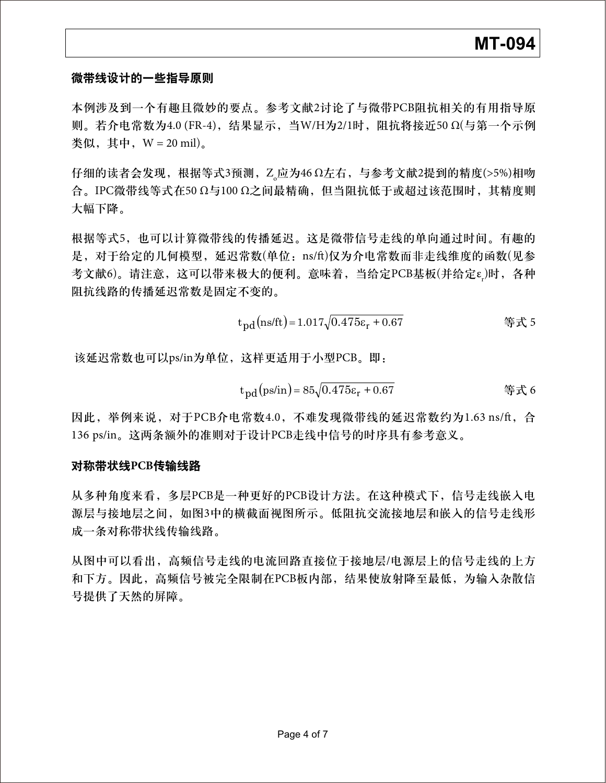## 微带线设计的一些指导原则

本例涉及到一个有趣且微妙的要点。参考文献2讨论了与微带PCB阻抗相关的有用指导原 则。若介电常数为4.0 (FR-4),结果显示,当W/H为2/1时,阻抗将接近50 Ω(与第一个示例 类似,其中,  $W = 20$  mil)。

仔细的读者会发现,根据等式3预测,Z<sub>o</sub>应为46 Ω左右,与参考文献2提到的精度(>5%)相吻 合。IPC微带线等式在50 Ω与100 Ω之间最精确,但当阻抗低于或超过该范围时,其精度则 大幅下降。

根据等式5,也可以计算微带线的传播延迟。这是微带信号走线的单向通过时间。有趣的 是, 对于给定的几何模型, 延迟常数(单位: ns/ft)仅为介电常数而非走线维度的函数(见参 考文献6)。请注意,这可以带来极大的便利。意味着,当给定PCB基板(并给定ε<sub>r</sub>)时,各种 阻抗线路的传播延迟常数是固定不变的。

t<sub>pd</sub>(ns/ft)=1.017
$$
\sqrt{0.475\varepsilon_r + 0.67}
$$
 # $\Re \lesssim 5$ 

该延迟常数也可以ps/in为单位,这样更适用于小型PCB。即:

$$
t_{pd}(ps/in) = 85\sqrt{0.475\epsilon_r + 0.67}
$$

因此,举例来说, 对于PCB介电常数4.0, 不难发现微带线的延迟常数约为1.63 ns/ft, 合 136 ps/in。这两条额外的准则对于设计PCB走线中信号的时序具有参考意义。

### 对称带状线**PCB**传输线路

从多种角度来看,多层PCB是一种更好的PCB设计方法。在这种模式下,信号走线嵌入电 源层与接地层之间,如图3中的横截面视图所示。低阻抗交流接地层和嵌入的信号走线形 成一条对称带状线传输线路。

从图中可以看出,高频信号走线的电流回路直接位于接地层/电源层上的信号走线的上方 和下方。因此,高频信号被完全限制在PCB板内部,结果使放射降至最低,为输入杂散信 号提供了天然的屏障。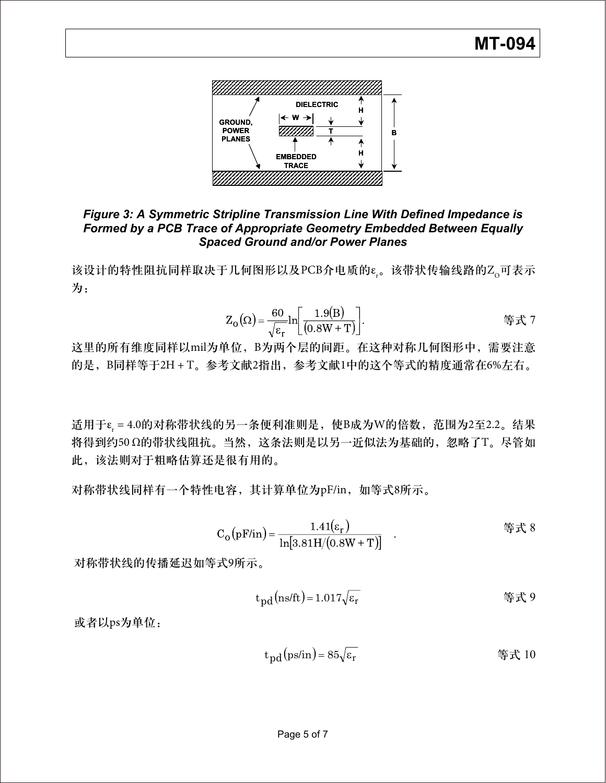

## *Figure 3: A Symmetric Stripline Transmission Line With Defined Impedance is Formed by a PCB Trace of Appropriate Geometry Embedded Between Equally Spaced Ground and/or Power Planes*

该设计的特性阻抗同样取决于几何图形以及PCB介电质的ε.。该带状传输线路的Z<sub>o</sub>可表示 为:

$$
Z_{\text{O}}(\Omega) = \frac{60}{\sqrt{\varepsilon_{\text{r}}}} \ln \left[ \frac{1.9(\text{B})}{(0.8\text{W} + \text{T})} \right].
$$

这里的所有维度同样以mil为单位,B为两个层的间距。在这种对称几何图形中,需要注意 的是, B同样等于2H + T。参考文献2指出, 参考文献1中的这个等式的精度通常在6%左右。

适用于ε<sub>r</sub> = 4.0的对称带状线的另一条便利准则是,使B成为W的倍数,范围为2至2.2。结果 将得到约50 Ω的带状线阻抗。当然,这条法则是以另一近似法为基础的,忽略了T。尽管如 此,该法则对于粗略估算还是很有用的。

对称带状线同样有一个特性电容,其计算单位为pF/in,如等式8所示。

C<sub>o</sub>(pF/in) = 
$$
\frac{1.41(\varepsilon_r)}{\ln[3.81H/(0.8W + T)]}
$$
 (

对称带状线的传播延迟如等式9所示。

$$
t_{\rm pd} \left( \text{ns/ft} \right) = 1.017 \sqrt{\varepsilon_r} \tag{\frac{\varepsilon}{2}}
$$

或者以ps为单位:

$$
t_{\rm pd}(\text{ps/in}) = 85\sqrt{\varepsilon_{\rm r}}
$$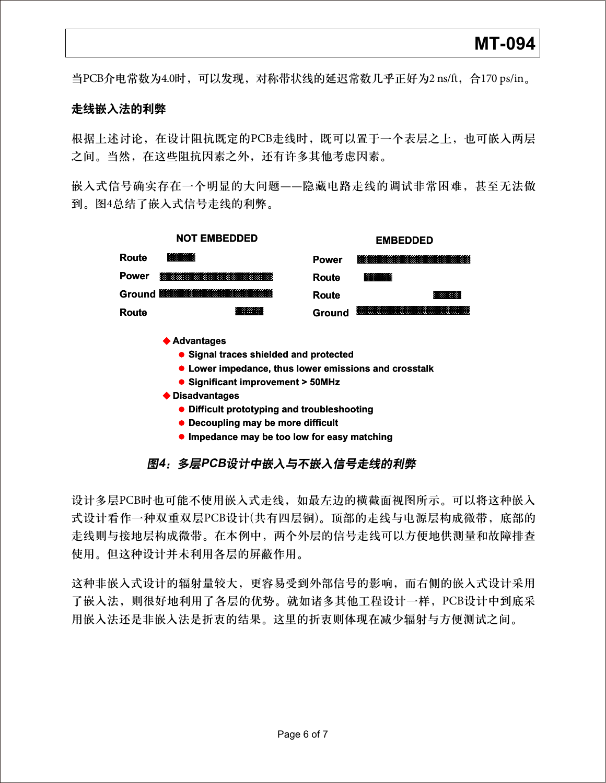当PCB介电常数为4.0时,可以发现,对称带状线的延迟常数几乎正好为2 ns/ft,合170 ps/in。

#### 走线嵌入法的利弊

根据上述讨论,在设计阻抗既定的PCB走线时,既可以置于一个表层之上,也可嵌入两层 之间。当然,在这些阻抗因素之外,还有许多其他考虑因素。

嵌入式信号确实存在一个明显的大问题——隐藏电路走线的调试非常困难,甚至无法做 到。图4总结了嵌入式信号走线的利弊。



- **Signal traces shielded and protected Signal Lower impedance, thus Lower impedance, thus lower emissions and crosstalk**
- **Significant improvement > 50MHz**
- **Disad vantages** Significant<br>advantages<br>Difficult pro<br>Decoupling<br>Impedance
	- **Difficult prototyping and troubleshooting**
	- **Decoupling may be more difficult**
	- **Impedance may be too low for easy matching**

## 图**4**:多层**PCB**设计中嵌入与不嵌入信号走线的利弊

设计多层PCB时也可能不使用嵌入式走线,如最左边的横截面视图所示。可以将这种嵌入 式设计看作一种双重双层PCB设计(共有四层铜)。顶部的走线与电源层构成微带,底部的 走线则与接地层构成微带。在本例中,两个外层的信号走线可以方便地供测量和故障排查 使用。但这种设计并未利用各层的屏蔽作用。

这种非嵌入式设计的辐射量较大,更容易受到外部信号的影响,而右侧的嵌入式设计采用 了嵌入法,则很好地利用了各层的优势。就如诸多其他工程设计一样,PCB设计中到底采 用嵌入法还是非嵌入法是折衷的结果。这里的折衷则体现在减少辐射与方便测试之间。